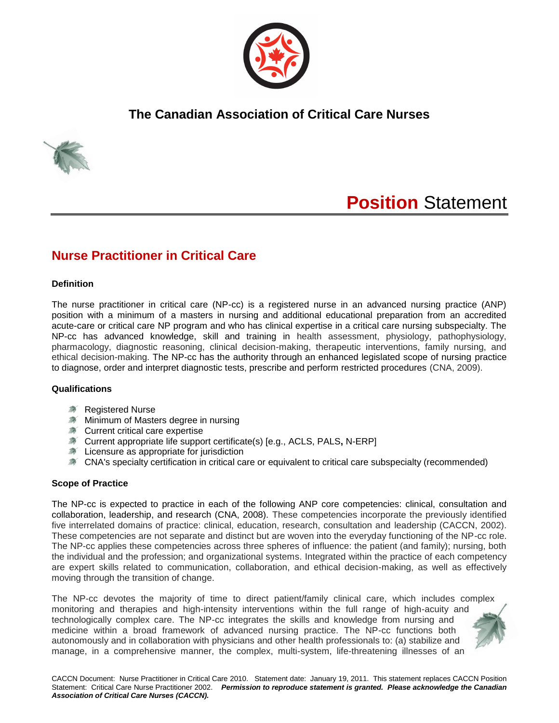

# **The Canadian Association of Critical Care Nurses**



# **Position** Statement

# **Nurse Practitioner in Critical Care**

### **Definition**

The nurse practitioner in critical care (NP-cc) is a registered nurse in an advanced nursing practice (ANP) position with a minimum of a masters in nursing and additional educational preparation from an accredited acute-care or critical care NP program and who has clinical expertise in a critical care nursing subspecialty. The NP-cc has advanced knowledge, skill and training in health assessment, physiology, pathophysiology, pharmacology, diagnostic reasoning, clinical decision-making, therapeutic interventions, family nursing, and ethical decision-making. The NP-cc has the authority through an enhanced legislated scope of nursing practice to diagnose, order and interpret diagnostic tests, prescribe and perform restricted procedures (CNA, 2009).

#### **Qualifications**

- **A** Registered Nurse
- **Minimum of Masters degree in nursing**
- \* Current critical care expertise
- Current appropriate life support certificate(s) [e.g., ACLS, PALS**,** N-ERP]
- **X** Licensure as appropriate for jurisdiction
- CNA's specialty certification in critical care or equivalent to critical care subspecialty (recommended)

#### **Scope of Practice**

The NP-cc is expected to practice in each of the following ANP core competencies: clinical, consultation and collaboration, leadership, and research (CNA, 2008). These competencies incorporate the previously identified five interrelated domains of practice: clinical, education, research, consultation and leadership (CACCN, 2002). These competencies are not separate and distinct but are woven into the everyday functioning of the NP-cc role. The NP-cc applies these competencies across three spheres of influence: the patient (and family); nursing, both the individual and the profession; and organizational systems. Integrated within the practice of each competency are expert skills related to communication, collaboration, and ethical decision-making, as well as effectively moving through the transition of change.

The NP-cc devotes the majority of time to direct patient/family clinical care, which includes complex monitoring and therapies and high-intensity interventions within the full range of high-acuity and technologically complex care. The NP-cc integrates the skills and knowledge from nursing and medicine within a broad framework of advanced nursing practice. The NP-cc functions both autonomously and in collaboration with physicians and other health professionals to: (a) stabilize and manage, in a comprehensive manner, the complex, multi-system, life-threatening illnesses of an

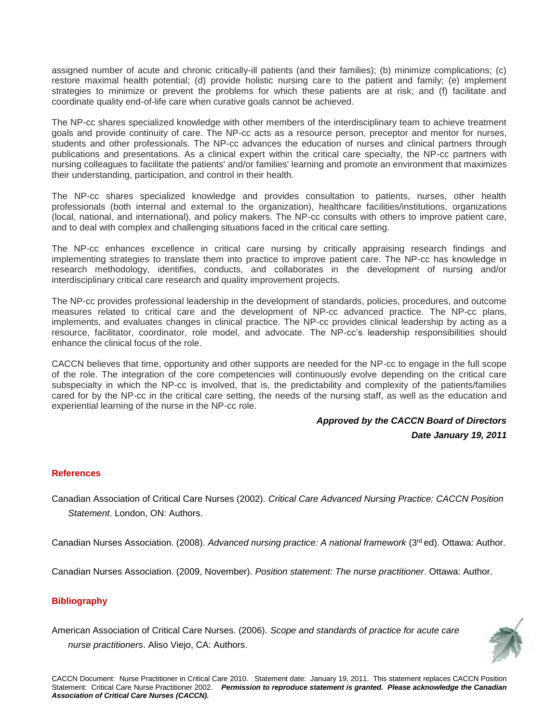assigned number of acute and chronic critically-ill patients (and their families); (b) minimize complications; (c) restore maximal health potential; (d) provide holistic nursing care to the patient and family; (e) implement strategies to minimize or prevent the problems for which these patients are at risk; and (f) facilitate and coordinate quality end-of-life care when curative goals cannot be achieved.

The NP-cc shares specialized knowledge with other members of the interdisciplinary team to achieve treatment goals and provide continuity of care. The NP-cc acts as a resource person, preceptor and mentor for nurses, students and other professionals. The NP-cc advances the education of nurses and clinical partners through publications and presentations. As a clinical expert within the critical care specialty, the NP-cc partners with nursing colleagues to facilitate the patients' and/or families' learning and promote an environment that maximizes their understanding, participation, and control in their health.

The NP-cc shares specialized knowledge and provides consultation to patients, nurses, other health professionals (both internal and external to the organization), healthcare facilities/institutions, organizations (local, national, and international), and policy makers. The NP-cc consults with others to improve patient care, and to deal with complex and challenging situations faced in the critical care setting.

The NP-cc enhances excellence in critical care nursing by critically appraising research findings and implementing strategies to translate them into practice to improve patient care. The NP-cc has knowledge in research methodology, identifies, conducts, and collaborates in the development of nursing and/or interdisciplinary critical care research and quality improvement projects.

The NP-cc provides professional leadership in the development of standards, policies, procedures, and outcome measures related to critical care and the development of NP-cc advanced practice. The NP-cc plans, implements, and evaluates changes in clinical practice. The NP-cc provides clinical leadership by acting as a resource, facilitator, coordinator, role model, and advocate. The NP-cc's leadership responsibilities should enhance the clinical focus of the role.

CACCN believes that time, opportunity and other supports are needed for the NP-cc to engage in the full scope of the role. The integration of the core competencies will continuously evolve depending on the critical care subspecialty in which the NP-cc is involved, that is, the predictability and complexity of the patients/families cared for by the NP-cc in the critical care setting, the needs of the nursing staff, as well as the education and experiential learning of the nurse in the NP-cc role.

## *Approved by the CACCN Board of Directors Date January 19, 2011*

#### **References**

Canadian Association of Critical Care Nurses (2002). *Critical Care Advanced Nursing Practice: CACCN Position Statement*. London, ON: Authors.

Canadian Nurses Association. (2008). *Advanced nursing practice: A national framework* (3rd ed). Ottawa: Author.

Canadian Nurses Association. (2009, November). *Position statement: The nurse practitioner*. Ottawa: Author.

## **Bibliography**

American Association of Critical Care Nurses. (2006). *Scope and standards of practice for acute care nurse practitioners*. Aliso Viejo, CA: Authors.

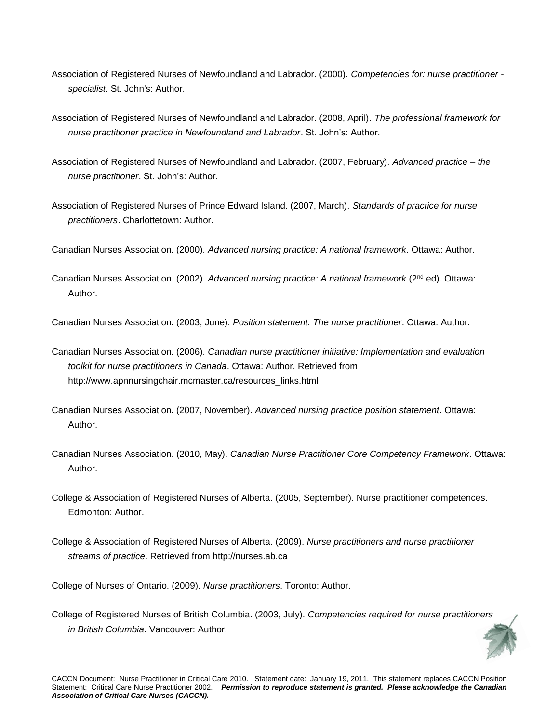- Association of Registered Nurses of Newfoundland and Labrador. (2000). *Competencies for: nurse practitioner specialist*. St. John's: Author.
- Association of Registered Nurses of Newfoundland and Labrador. (2008, April). *The professional framework for nurse practitioner practice in Newfoundland and Labrador*. St. John's: Author.
- Association of Registered Nurses of Newfoundland and Labrador. (2007, February). *Advanced practice – the nurse practitioner*. St. John's: Author.
- Association of Registered Nurses of Prince Edward Island. (2007, March). *Standards of practice for nurse practitioners*. Charlottetown: Author.

Canadian Nurses Association. (2000). *Advanced nursing practice: A national framework*. Ottawa: Author.

Canadian Nurses Association. (2002). *Advanced nursing practice: A national framework* (2nd ed). Ottawa: Author.

Canadian Nurses Association. (2003, June). *Position statement: The nurse practitioner*. Ottawa: Author.

- Canadian Nurses Association. (2006). *Canadian nurse practitioner initiative: Implementation and evaluation toolkit for nurse practitioners in Canada*. Ottawa: Author. Retrieved from [http://www.apnnursingchair.mcmaster.ca/resources\\_links.html](http://www.apnnursingchair.mcmaster.ca/resources_links.html)
- Canadian Nurses Association. (2007, November). *Advanced nursing practice position statement*. Ottawa: Author.
- Canadian Nurses Association. (2010, May). *Canadian Nurse Practitioner Core Competency Framework*. Ottawa: Author.
- College & Association of Registered Nurses of Alberta. (2005, September). Nurse practitioner competences. Edmonton: Author.
- College & Association of Registered Nurses of Alberta. (2009). *Nurse practitioners and nurse practitioner streams of practice*. Retrieved from [http://nurses.ab.ca](http://nurses.ab.ca/)

College of Nurses of Ontario. (2009). *Nurse practitioners*. Toronto: Author.

College of Registered Nurses of British Columbia. (2003, July). *Competencies required for nurse practitioners in British Columbia*. Vancouver: Author.